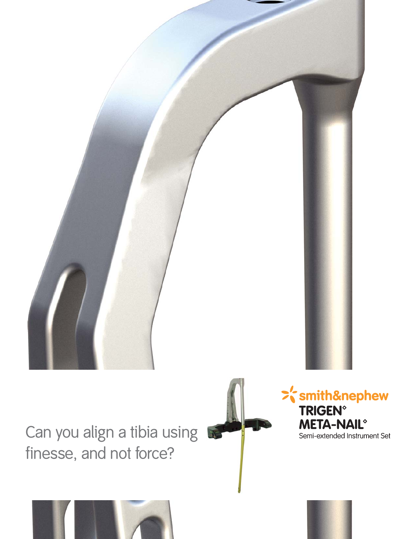

3

Can you align a tibia using finesse, and not force?

>'smith&nephew **TRIGEN® META-NAIL<sup>®</sup>** Semi-extended Instrument Set



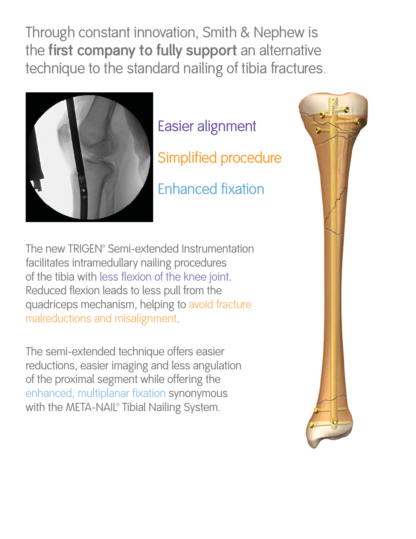Through constant innovation, Smith & Nephew is the **first company to fully support** an alternative technique to the standard nailing of tibia fractures.



Easier alignment Simplified procedure Enhanced fixation

The new TRIGEN<sup>®</sup> Semi-extended Instrumentation facilitates intramedullary nailing procedures of the tibia with less flexion of the knee joint. Reduced flexion leads to less pull from the quadriceps mechanism, helping to avoid fracture malreductions and misalignment.

The semi-extended technique offers easier reductions, easier imaging and less angulation of the proximal segment while offering the enhanced, multiplanar fixation synonymous with the META-NAIL<sup>®</sup> Tibial Nailing System.

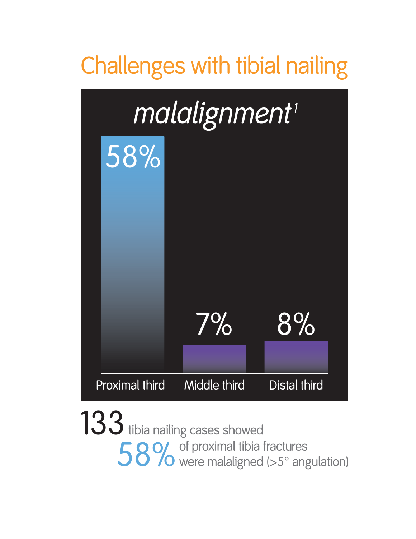

of proximal tibia fractures 58% of proximal tibia fractures<br>58% were malaligned (>5° angulation) 133 tibia nailing cases showed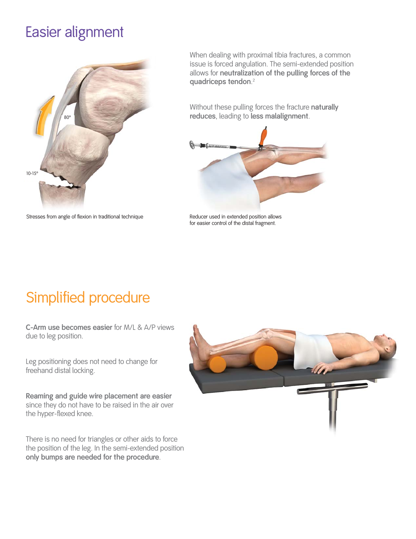## Easier alignment



Stresses from angle of flexion in traditional technique Reducer used in extended position allows

When dealing with proximal tibia fractures, a common issue is forced angulation. The semi-extended position allows for **neutralization of the pulling forces of the quadriceps tendon**. 2

Without these pulling forces the fracture **naturally reduces**, leading to **less malalignment**.



for easier control of the distal fragment.

## Simplified procedure

**C-Arm use becomes easier** for M/L & A/P views due to leg position.

Leg positioning does not need to change for freehand distal locking.

**Reaming and guide wire placement are easier** since they do not have to be raised in the air over the hyper-flexed knee.

There is no need for triangles or other aids to force the position of the leg. In the semi-extended position **only bumps are needed for the procedure**.

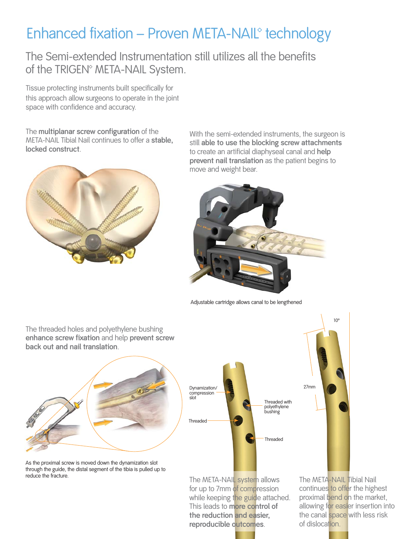## Enhanced fixation – Proven META-NAIL<sup>®</sup> technology

The Semi-extended Instrumentation still utilizes all the benefits of the TRIGEN<sup>®</sup> META-NAIL System.

Tissue protecting instruments built specifically for this approach allow surgeons to operate in the joint space with confidence and accuracy.

The **multiplanar screw configuration** of the META-NAIL Tibial Nail continues to offer a **stable, locked construct**.



With the semi-extended instruments, the surgeon is still **able to use the blocking screw attachments** to create an artificial diaphyseal canal and **help prevent nail translation** as the patient begins to move and weight bear.



Adjustable cartridge allows canal to be lengthened

**back out and nail translation**.

The threaded holes and polyethylene bushing **enhance screw fixation** and help **prevent screw** 

As the proximal screw is moved down the dynamization slot through the guide, the distal segment of the tibia is pulled up to reduce the fracture.



The META-NAIL system allows for up to 7mm of compression while keeping the guide attached. This leads to **more control of the reduction and easier, reproducible outcomes**.

The META-NAIL Tibial Nail continues to offer the highest proximal bend on the market, allowing for easier insertion into the canal space with less risk of dislocation.